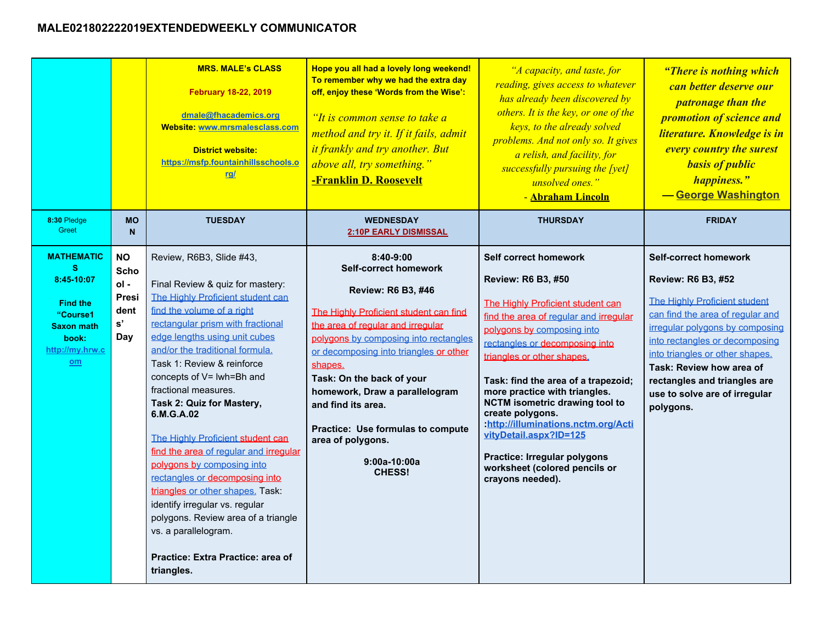## **MALE021802222019EXTENDEDWEEKLY COMMUNICATOR**

|                                                                                                                               |                                                           | <b>MRS. MALE's CLASS</b><br><b>February 18-22, 2019</b><br>dmale@fhacademics.org<br>Website: www.mrsmalesclass.com<br><b>District website:</b><br>https://msfp.fountainhillsschools.o<br><u>rg/</u>                                                                                                                                                                                                                                                                                                                                                                                                                                                                                                           | Hope you all had a lovely long weekend!<br>To remember why we had the extra day<br>off, enjoy these 'Words from the Wise':<br>"It is common sense to take a<br>method and try it. If it fails, admit<br>it frankly and try another. But<br>above all, try something."<br>-Franklin D. Roosevelt                                                                                                                                     | "A capacity, and taste, for<br>reading, gives access to whatever<br>has already been discovered by<br>others. It is the key, or one of the<br>keys, to the already solved<br>problems. And not only so. It gives<br>a relish, and facility, for<br>successfully pursuing the [yet]<br>unsolved ones."<br>- Abraham Lincoln                                                                                                                                                                                          | "There is nothing which<br><b>can better deserve our</b><br><i>patronage than the</i><br>promotion of science and<br>literature. Knowledge is in<br>every country the surest<br><b>basis of public</b><br>happiness."<br>-George Washington                                                                                                      |
|-------------------------------------------------------------------------------------------------------------------------------|-----------------------------------------------------------|---------------------------------------------------------------------------------------------------------------------------------------------------------------------------------------------------------------------------------------------------------------------------------------------------------------------------------------------------------------------------------------------------------------------------------------------------------------------------------------------------------------------------------------------------------------------------------------------------------------------------------------------------------------------------------------------------------------|-------------------------------------------------------------------------------------------------------------------------------------------------------------------------------------------------------------------------------------------------------------------------------------------------------------------------------------------------------------------------------------------------------------------------------------|---------------------------------------------------------------------------------------------------------------------------------------------------------------------------------------------------------------------------------------------------------------------------------------------------------------------------------------------------------------------------------------------------------------------------------------------------------------------------------------------------------------------|--------------------------------------------------------------------------------------------------------------------------------------------------------------------------------------------------------------------------------------------------------------------------------------------------------------------------------------------------|
| 8:30 Pledge<br>Greet                                                                                                          | <b>MO</b><br>$\mathbf N$                                  | <b>TUESDAY</b>                                                                                                                                                                                                                                                                                                                                                                                                                                                                                                                                                                                                                                                                                                | <b>WEDNESDAY</b><br><b>2:10P EARLY DISMISSAL</b>                                                                                                                                                                                                                                                                                                                                                                                    | <b>THURSDAY</b>                                                                                                                                                                                                                                                                                                                                                                                                                                                                                                     | <b>FRIDAY</b>                                                                                                                                                                                                                                                                                                                                    |
| <b>MATHEMATIC</b><br>s.<br>8:45-10:07<br><b>Find the</b><br>"Course1<br><b>Saxon math</b><br>book:<br>http://my.hrw.c<br>$om$ | <b>NO</b><br>Scho<br>$ol -$<br>Presi<br>dent<br>s'<br>Day | Review, R6B3, Slide #43,<br>Final Review & quiz for mastery:<br>The Highly Proficient student can<br>find the volume of a right<br>rectangular prism with fractional<br>edge lengths using unit cubes<br>and/or the traditional formula.<br>Task 1: Review & reinforce<br>concepts of V= lwh=Bh and<br>fractional measures.<br>Task 2: Quiz for Mastery,<br>6.M.G.A.02<br>The Highly Proficient student can<br>find the area of regular and irregular<br>polygons by composing into<br>rectangles or decomposing into<br>triangles or other shapes. Task:<br>identify irregular vs. regular<br>polygons. Review area of a triangle<br>vs. a parallelogram.<br>Practice: Extra Practice: area of<br>triangles. | 8:40-9:00<br><b>Self-correct homework</b><br><b>Review: R6 B3, #46</b><br>The Highly Proficient student can find<br>the area of regular and irregular<br>polygons by composing into rectangles<br>or decomposing into triangles or other<br>shapes.<br>Task: On the back of your<br>homework, Draw a parallelogram<br>and find its area.<br>Practice: Use formulas to compute<br>area of polygons.<br>9:00a-10:00a<br><b>CHESS!</b> | Self correct homework<br>Review: R6 B3, #50<br>The Highly Proficient student can<br>find the area of regular and irregular<br>polygons by composing into<br>rectangles or decomposing into<br>triangles or other shapes.<br>Task: find the area of a trapezoid;<br>more practice with triangles.<br><b>NCTM</b> isometric drawing tool to<br>create polygons.<br>:http://illuminations.nctm.org/Acti<br>vityDetail.aspx?ID=125<br>Practice: Irregular polygons<br>worksheet (colored pencils or<br>crayons needed). | <b>Self-correct homework</b><br><b>Review: R6 B3, #52</b><br>The Highly Proficient student<br>can find the area of regular and<br>irregular polygons by composing<br>into rectangles or decomposing<br>into triangles or other shapes.<br>Task: Review how area of<br>rectangles and triangles are<br>use to solve are of irregular<br>polygons. |